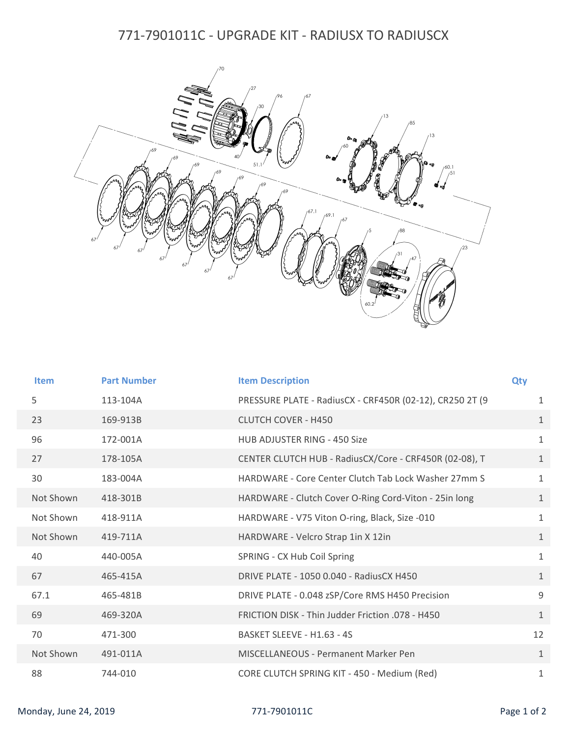## 771-7901011C - UPGRADE KIT - RADIUSX TO RADIUSCX



| <b>Item</b> | <b>Part Number</b> | <b>Item Description</b>                                  | Qty          |
|-------------|--------------------|----------------------------------------------------------|--------------|
| 5           | 113-104A           | PRESSURE PLATE - RadiusCX - CRF450R (02-12), CR250 2T (9 | $\mathbf{1}$ |
| 23          | 169-913B           | <b>CLUTCH COVER - H450</b>                               | $\mathbf{1}$ |
| 96          | 172-001A           | <b>HUB ADJUSTER RING - 450 Size</b>                      | $\mathbf{1}$ |
| 27          | 178-105A           | CENTER CLUTCH HUB - RadiusCX/Core - CRF450R (02-08), T   | $\mathbf{1}$ |
| 30          | 183-004A           | HARDWARE - Core Center Clutch Tab Lock Washer 27mm S     | $\mathbf{1}$ |
| Not Shown   | 418-301B           | HARDWARE - Clutch Cover O-Ring Cord-Viton - 25in long    | $\mathbf{1}$ |
| Not Shown   | 418-911A           | HARDWARE - V75 Viton O-ring, Black, Size -010            | $\mathbf{1}$ |
| Not Shown   | 419-711A           | HARDWARE - Velcro Strap 1in X 12in                       | $\mathbf{1}$ |
| 40          | 440-005A           | SPRING - CX Hub Coil Spring                              | $\mathbf{1}$ |
| 67          | 465-415A           | DRIVE PLATE - 1050 0.040 - RadiusCX H450                 | $\mathbf{1}$ |
| 67.1        | 465-481B           | DRIVE PLATE - 0.048 zSP/Core RMS H450 Precision          | 9            |
| 69          | 469-320A           | FRICTION DISK - Thin Judder Friction .078 - H450         | $\mathbf{1}$ |
| 70          | 471-300            | BASKET SLEEVE - H1.63 - 4S                               | 12           |
| Not Shown   | 491-011A           | <b>MISCELLANEOUS - Permanent Marker Pen</b>              | $\mathbf{1}$ |
| 88          | 744-010            | CORE CLUTCH SPRING KIT - 450 - Medium (Red)              | $\mathbf{1}$ |